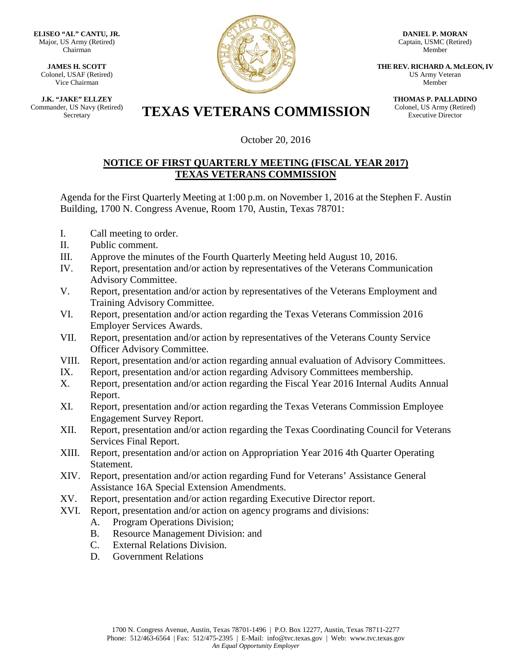**ELISEO "AL" CANTU, JR.** Major, US Army (Retired) Chairman

**JAMES H. SCOTT** Colonel, USAF (Retired) Vice Chairman

**J.K. "JAKE" ELLZEY** Commander, US Navy (Retired)



**DANIEL P. MORAN** Captain, USMC (Retired) Member

**THE REV. RICHARD A. McLEON, IV** US Army Veteran Member

> **THOMAS P. PALLADINO** Colonel, US Army (Retired) Executive Director

## Er, US Navy (Retired) **TEXAS VETERANS COMMISSION**

October 20, 2016

## **NOTICE OF FIRST QUARTERLY MEETING (FISCAL YEAR 2017) TEXAS VETERANS COMMISSION**

Agenda for the First Quarterly Meeting at 1:00 p.m. on November 1, 2016 at the Stephen F. Austin Building, 1700 N. Congress Avenue, Room 170, Austin, Texas 78701:

- I. Call meeting to order.
- II. Public comment.
- III. Approve the minutes of the Fourth Quarterly Meeting held August 10, 2016.
- IV. Report, presentation and/or action by representatives of the Veterans Communication Advisory Committee.
- V. Report, presentation and/or action by representatives of the Veterans Employment and Training Advisory Committee.
- VI. Report, presentation and/or action regarding the Texas Veterans Commission 2016 Employer Services Awards.
- VII. Report, presentation and/or action by representatives of the Veterans County Service Officer Advisory Committee.
- VIII. Report, presentation and/or action regarding annual evaluation of Advisory Committees.
- IX. Report, presentation and/or action regarding Advisory Committees membership.
- X. Report, presentation and/or action regarding the Fiscal Year 2016 Internal Audits Annual Report.
- XI. Report, presentation and/or action regarding the Texas Veterans Commission Employee Engagement Survey Report.
- XII. Report, presentation and/or action regarding the Texas Coordinating Council for Veterans Services Final Report.
- XIII. Report, presentation and/or action on Appropriation Year 2016 4th Quarter Operating Statement.
- XIV. Report, presentation and/or action regarding Fund for Veterans' Assistance General Assistance 16A Special Extension Amendments.
- XV. Report, presentation and/or action regarding Executive Director report.
- XVI. Report, presentation and/or action on agency programs and divisions:
	- A. Program Operations Division;
	- B. Resource Management Division: and
	- C. External Relations Division.
	- D. Government Relations